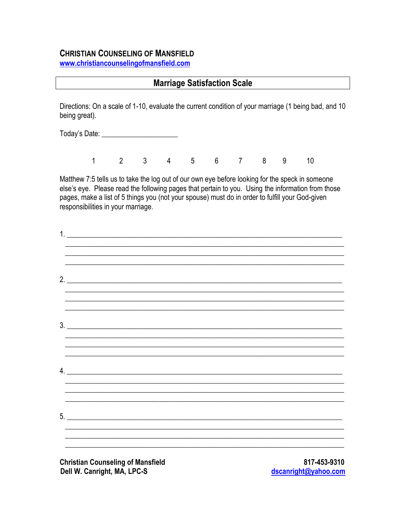#### **CHRISTIAN COUNSELING OF MANSFIELD**

www.christiancounselingofmansfield.com

#### **Marriage Satisfaction Scale**

Directions: On a scale of 1-10, evaluate the current condition of your marriage (1 being bad, and 10 being great).

Today's Date: <u>\_\_\_\_\_\_\_\_\_\_\_\_\_\_\_\_\_\_</u>\_\_\_\_

 $\begin{array}{ccccccccccccccccccccc} 1 & 2 & 3 & 4 & 5 & 6 & 7 & 8 & 9 \end{array}$  $10<sup>°</sup>$ 

Matthew 7:5 tells us to take the log out of our own eye before looking for the speck in someone else's eye. Please read the following pages that pertain to you. Using the information from those pages, make a list of 5 things you (not your spouse) must do in order to fulfill your God-given responsibilities in your marriage.

| 1. |    |  |  |
|----|----|--|--|
|    | 2. |  |  |
|    | 3. |  |  |
|    | 4. |  |  |
|    |    |  |  |
|    |    |  |  |

**Christian Counseling of Mansfield** Dell W. Canright, MA, LPC-S

817-453-9310 dscanright@yahoo.com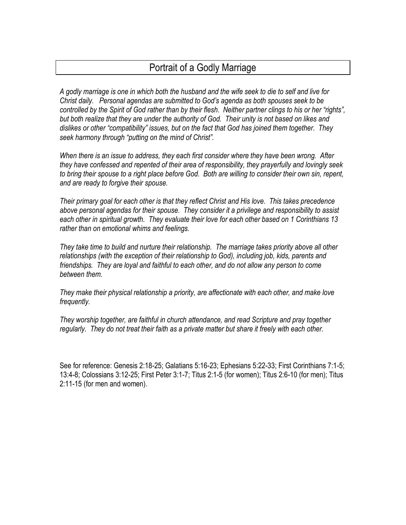# Portrait of a Godly Marriage

*A godly marriage is one in which both the husband and the wife seek to die to self and live for Christ daily. Personal agendas are submitted to God's agenda as both spouses seek to be controlled by the Spirit of God rather than by their flesh. Neither partner clings to his or her "rights", but both realize that they are under the authority of God. Their unity is not based on likes and dislikes or other "compatibility" issues, but on the fact that God has joined them together. They seek harmony through "putting on the mind of Christ".*

*When there is an issue to address, they each first consider where they have been wrong. After they have confessed and repented of their area of responsibility, they prayerfully and lovingly seek to bring their spouse to a right place before God. Both are willing to consider their own sin, repent, and are ready to forgive their spouse.*

*Their primary goal for each other is that they reflect Christ and His love. This takes precedence above personal agendas for their spouse. They consider it a privilege and responsibility to assist each other in spiritual growth. They evaluate their love for each other based on 1 Corinthians 13 rather than on emotional whims and feelings.*

*They take time to build and nurture their relationship. The marriage takes priority above all other relationships (with the exception of their relationship to God), including job, kids, parents and friendships. They are loyal and faithful to each other, and do not allow any person to come between them.*

*They make their physical relationship a priority, are affectionate with each other, and make love frequently.*

*They worship together, are faithful in church attendance, and read Scripture and pray together regularly. They do not treat their faith as a private matter but share it freely with each other.*

See for reference: Genesis 2:18-25; Galatians 5:16-23; Ephesians 5:22-33; First Corinthians 7:1-5; 13:4-8; Colossians 3:12-25; First Peter 3:1-7; Titus 2:1-5 (for women); Titus 2:6-10 (for men); Titus 2:11-15 (for men and women).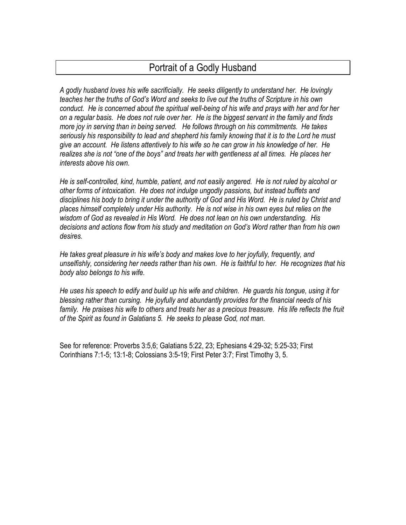# Portrait of a Godly Husband

*A godly husband loves his wife sacrificially. He seeks diligently to understand her. He lovingly teaches her the truths of God's Word and seeks to live out the truths of Scripture in his own conduct. He is concerned about the spiritual well-being of his wife and prays with her and for her on a regular basis. He does not rule over her. He is the biggest servant in the family and finds more joy in serving than in being served. He follows through on his commitments. He takes seriously his responsibility to lead and shepherd his family knowing that it is to the Lord he must give an account. He listens attentively to his wife so he can grow in his knowledge of her. He realizes she is not "one of the boys" and treats her with gentleness at all times. He places her interests above his own.*

*He is self-controlled, kind, humble, patient, and not easily angered. He is not ruled by alcohol or other forms of intoxication. He does not indulge ungodly passions, but instead buffets and disciplines his body to bring it under the authority of God and His Word. He is ruled by Christ and places himself completely under His authority. He is not wise in his own eyes but relies on the wisdom of God as revealed in His Word. He does not lean on his own understanding. His decisions and actions flow from his study and meditation on God's Word rather than from his own desires.*

*He takes great pleasure in his wife's body and makes love to her joyfully, frequently, and unselfishly, considering her needs rather than his own. He is faithful to her. He recognizes that his body also belongs to his wife.*

*He uses his speech to edify and build up his wife and children. He guards his tongue, using it for blessing rather than cursing. He joyfully and abundantly provides for the financial needs of his family. He praises his wife to others and treats her as a precious treasure. His life reflects the fruit of the Spirit as found in Galatians 5. He seeks to please God, not man.*

See for reference: Proverbs 3:5,6; Galatians 5:22, 23; Ephesians 4:29-32; 5:25-33; First Corinthians 7:1-5; 13:1-8; Colossians 3:5-19; First Peter 3:7; First Timothy 3, 5.